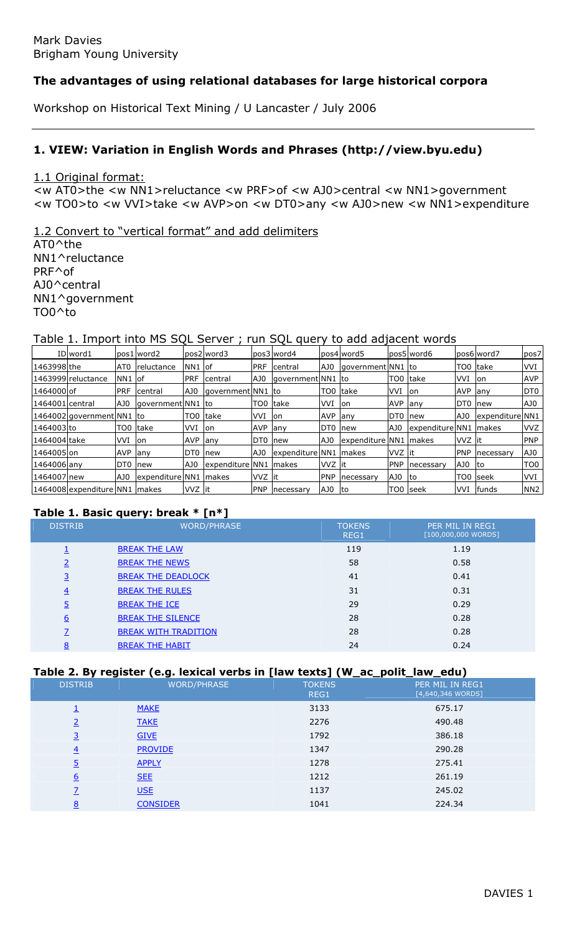# **The advantages of using relational databases for large historical corpora**

Workshop on Historical Text Mining / U Lancaster / July 2006

## **1. VIEW: Variation in English Words and Phrases (http://view.byu.edu)**

1.1 Original format:

<w AT0>the <w NN1>reluctance <w PRF>of <w AJ0>central <w NN1>government <w TO0>to <w VVI>take <w AVP>on <w DT0>any <w AJ0>new <w NN1>expenditure

1.2 Convert to "vertical format" and add delimiters AT0^the NN1^reluctance PRF^of AJ0^central NN1^government TO0^to

#### Table 1. Import into MS SQL Server ; run SQL query to add adjacent words

|                 | ID word1                      |                    | pos1 word2            |                    | pos2 word3            |            | pos3 word4            |            | pos4 word5            |            | pos5 word6            |                 | pos6 word7      | pos7            |
|-----------------|-------------------------------|--------------------|-----------------------|--------------------|-----------------------|------------|-----------------------|------------|-----------------------|------------|-----------------------|-----------------|-----------------|-----------------|
| 1463998 the     |                               | AT0                | Ireluctance           | NN <sub>1</sub> of |                       | <b>PRF</b> | central               | AJ0        | qovernment NN1 to     |            |                       | TO0 Itake       |                 | VVI             |
|                 | 1463999 reluctance            | NN <sub>1</sub> of |                       | <b>PRF</b>         | central               | AJ0        | government NN1 to     |            |                       |            | TO0 take              | VVI             | lon             | <b>AVP</b>      |
| 1464000 of      |                               | <b>PRF</b>         | central               | AJ0                | government NN1 to     |            |                       |            | TO0 Itake             | VVI        | on                    | <b>AVP</b>      | lany            | D <sub>T0</sub> |
| 1464001 central |                               | AJ0                | government NN1 to     |                    |                       |            | TO0 Itake             | VVI on     |                       | <b>AVP</b> | any                   | D <sub>T0</sub> | <b>new</b>      | AJ0             |
|                 | 1464002 government NN1 to     |                    |                       | TO0                | take                  | VVI        | on                    | AVP any    |                       | DT0 new    |                       | AJ0             | expenditure NN1 |                 |
| 1464003 to      |                               |                    | TO0 take              | VVI                | on                    | <b>AVP</b> | lany                  | DT0 Inew   |                       | AJ0        | expenditure NN1 makes |                 |                 | VVZ             |
| 1464004 take    |                               | VVI                | lon                   | <b>AVP</b>         | lany                  | DT0 new    |                       | AJ0        | expenditure NN1 makes |            |                       | VVZ lit         |                 | PNP             |
| 1464005 on      |                               | AVP                | lany                  | DT <sub>0</sub>    | <b>new</b>            | AJ0        | expenditure NN1 makes |            |                       | VVZ lit    |                       | <b>PNP</b>      | necessary       | AJ0             |
| 1464006 any     |                               | DT0 new            |                       | AJ0                | expenditure NN1 makes |            |                       | VVZ lit    |                       | <b>PNP</b> | necessary             | AJ0             | Ito             | TO <sub>0</sub> |
| 1464007 new     |                               | AJ0                | expenditure NN1 makes |                    |                       | VVZ lit    |                       | <b>PNP</b> | necessary             | AJ0        | Ito                   | TO0             | <b>lseek</b>    | VVI             |
|                 | 1464008 expenditure NN1 makes |                    |                       | VVZ lit            |                       | <b>PNP</b> | necessary             | AJO to     |                       |            | TO0 seek              | <b>VVI</b>      | <b>Ifunds</b>   | NN <sub>2</sub> |

#### **Table 1. Basic query: break \* [n\*]**

| <b>DISTRIB</b> | WORD/PHRASE                 | <b>TOKENS</b><br>REG1 | PER MIL IN REG1<br>[100,000,000 WORDS] |
|----------------|-----------------------------|-----------------------|----------------------------------------|
| ᆂ              | <b>BREAK THE LAW</b>        | 119                   | 1.19                                   |
| $\overline{2}$ | <b>BREAK THE NEWS</b>       | 58                    | 0.58                                   |
| <u>3</u>       | <b>BREAK THE DEADLOCK</b>   | 41                    | 0.41                                   |
| $\overline{4}$ | <b>BREAK THE RULES</b>      | 31                    | 0.31                                   |
| $\overline{5}$ | <b>BREAK THE ICE</b>        | 29                    | 0.29                                   |
| 6              | <b>BREAK THE SILENCE</b>    | 28                    | 0.28                                   |
|                | <b>BREAK WITH TRADITION</b> | 28                    | 0.28                                   |
| 8              | <b>BREAK THE HABIT</b>      | 24                    | 0.24                                   |

#### **Table 2. By register (e.g. lexical verbs in [law texts] (W\_ac\_polit\_law\_edu)**

| <b>DISTRIB</b>          | <b>WORD/PHRASE</b> | <b>TOKENS</b><br>REG1 | PER MIL IN REG1<br>[4,640,346 WORDS] |
|-------------------------|--------------------|-----------------------|--------------------------------------|
| $\overline{\mathbf{1}}$ | <b>MAKE</b>        | 3133                  | 675.17                               |
| $\overline{2}$          | <b>TAKE</b>        | 2276                  | 490.48                               |
| $\overline{3}$          | <b>GIVE</b>        | 1792                  | 386.18                               |
| $\overline{4}$          | <b>PROVIDE</b>     | 1347                  | 290.28                               |
| $\overline{5}$          | <b>APPLY</b>       | 1278                  | 275.41                               |
| 6                       | <b>SEE</b>         | 1212                  | 261.19                               |
|                         | <b>USE</b>         | 1137                  | 245.02                               |
| 8                       | <b>CONSIDER</b>    | 1041                  | 224.34                               |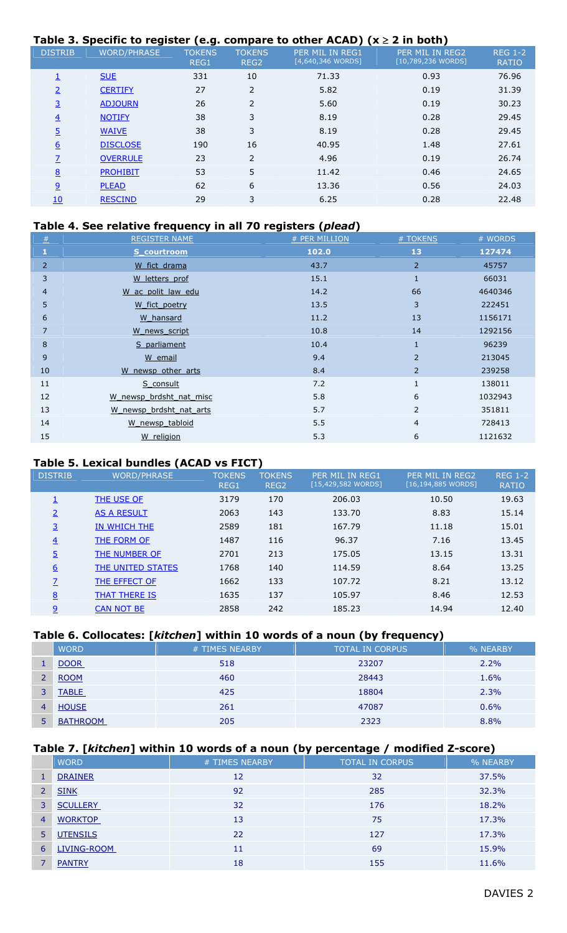#### Table 3. Specific to register (e.g. compare to other  $ACAD$ )  $(x \ge 2$  in both)

|                | -<br>. Г.          | ヽー・っ                  | . . <b>.</b> .        | <u>- , ,</u>                         |                                       |                                |
|----------------|--------------------|-----------------------|-----------------------|--------------------------------------|---------------------------------------|--------------------------------|
| <b>DISTRIB</b> | <b>WORD/PHRASE</b> | <b>TOKENS</b><br>REG1 | <b>TOKENS</b><br>REG2 | PER MIL IN REG1<br>[4,640,346 WORDS] | PER MIL IN REG2<br>[10,789,236 WORDS] | <b>REG 1-2</b><br><b>RATIO</b> |
| ᆂ              | <b>SUE</b>         | 331                   | 10                    | 71.33                                | 0.93                                  | 76.96                          |
| $\overline{2}$ | <b>CERTIFY</b>     | 27                    | 2                     | 5.82                                 | 0.19                                  | 31.39                          |
| $\overline{3}$ | <b>ADJOURN</b>     | 26                    | 2                     | 5.60                                 | 0.19                                  | 30.23                          |
| $\overline{4}$ | <b>NOTIFY</b>      | 38                    | 3                     | 8.19                                 | 0.28                                  | 29.45                          |
| $\overline{5}$ | <b>WAIVE</b>       | 38                    | 3                     | 8.19                                 | 0.28                                  | 29.45                          |
| 6              | <b>DISCLOSE</b>    | 190                   | 16                    | 40.95                                | 1.48                                  | 27.61                          |
| Z              | <b>OVERRULE</b>    | 23                    | 2                     | 4.96                                 | 0.19                                  | 26.74                          |
| 8              | <b>PROHIBIT</b>    | 53                    | 5                     | 11.42                                | 0.46                                  | 24.65                          |
| $\overline{9}$ | <b>PLEAD</b>       | 62                    | 6                     | 13.36                                | 0.56                                  | 24.03                          |
| <u>10</u>      | <b>RESCIND</b>     | 29                    | 3                     | 6.25                                 | 0.28                                  | 22.48                          |

### **Table 4. See relative frequency in all 70 registers (***plead***)**

| $\underline{\#}$ | <b>REGISTER NAME</b>    | # PER MILLION | # TOKENS       | # WORDS |
|------------------|-------------------------|---------------|----------------|---------|
| 1                | S courtroom             | 102.0         | 13             | 127474  |
| $\overline{2}$   | W fict drama            | 43.7          | $\overline{2}$ | 45757   |
| 3                | W letters prof          | 15.1          | $\mathbf{1}$   | 66031   |
| $\overline{4}$   | W ac polit law edu      | 14.2          | 66             | 4640346 |
| 5 <sup>5</sup>   | W fict poetry           | 13.5          | 3              | 222451  |
| 6                | W hansard               | 11.2          | 13             | 1156171 |
| $\overline{7}$   | W news script           | 10.8          | 14             | 1292156 |
| 8                | S parliament            | 10.4          | 1              | 96239   |
| 9                | W email                 | 9.4           | $\overline{2}$ | 213045  |
| 10               | W newsp other arts      | 8.4           | $\overline{2}$ | 239258  |
| 11               | S consult               | 7.2           | $\mathbf{1}$   | 138011  |
| 12               | W newsp brdsht nat misc | 5.8           | 6              | 1032943 |
| 13               | W newsp brdsht nat arts | 5.7           | $\overline{2}$ | 351811  |
| 14               | W newsp tabloid         | 5.5           | $\overline{4}$ | 728413  |
| 15               | W religion              | 5.3           | 6              | 1121632 |

# **Table 5. Lexical bundles (ACAD vs FICT)**

| <b>DISTRIB</b>          | <b>WORD/PHRASE</b>   | <b>TOKENS</b><br>REG1 | <b>TOKENS</b><br>REG <sub>2</sub> | PER MIL IN REG1<br>[15,429,582 WORDS] | <b>PER MIL IN REG2</b><br>[16,194,885 WORDS] | <b>REG 1-2</b><br><b>RATIO</b> |
|-------------------------|----------------------|-----------------------|-----------------------------------|---------------------------------------|----------------------------------------------|--------------------------------|
| $\overline{\mathsf{I}}$ | THE USE OF           | 3179                  | 170                               | 206.03                                | 10.50                                        | 19.63                          |
| $\overline{2}$          | <b>AS A RESULT</b>   | 2063                  | 143                               | 133.70                                | 8.83                                         | 15.14                          |
| $\overline{3}$          | IN WHICH THE         | 2589                  | 181                               | 167.79                                | 11.18                                        | 15.01                          |
| $\overline{4}$          | THE FORM OF          | 1487                  | 116                               | 96.37                                 | 7.16                                         | 13.45                          |
| $\overline{5}$          | THE NUMBER OF        | 2701                  | 213                               | 175.05                                | 13.15                                        | 13.31                          |
| 6                       | THE UNITED STATES    | 1768                  | 140                               | 114.59                                | 8.64                                         | 13.25                          |
| $\overline{Z}$          | THE EFFECT OF        | 1662                  | 133                               | 107.72                                | 8.21                                         | 13.12                          |
| 8                       | <b>THAT THERE IS</b> | 1635                  | 137                               | 105.97                                | 8.46                                         | 12.53                          |
| $\overline{9}$          | <b>CAN NOT BE</b>    | 2858                  | 242                               | 185.23                                | 14.94                                        | 12.40                          |

#### **Table 6. Collocates: [***kitchen***] within 10 words of a noun (by frequency)**

|   |                 | . .            | $\blacksquare$<br>. .  |          |
|---|-----------------|----------------|------------------------|----------|
|   | WORD            | # TIMES NEARBY | <b>TOTAL IN CORPUS</b> | % NEARBY |
|   | <b>DOOR</b>     | 518            | 23207                  | 2.2%     |
|   | <b>ROOM</b>     | 460            | 28443                  | 1.6%     |
| 3 | <b>TABLE</b>    | 425            | 18804                  | 2.3%     |
| 4 | <b>HOUSE</b>    | 261            | 47087                  | 0.6%     |
|   | <b>BATHROOM</b> | 205            | 2323                   | 8.8%     |

#### **Table 7. [***kitchen***] within 10 words of a noun (by percentage / modified Z-score)**

|                | <b>WORD</b>     | # TIMES NEARBY | <b>TOTAL IN CORPUS</b> | % NEARBY |
|----------------|-----------------|----------------|------------------------|----------|
|                | <b>DRAINER</b>  | 12             | 32                     | 37.5%    |
| $\overline{2}$ | <b>SINK</b>     | 92             | 285                    | 32.3%    |
| 3              | <b>SCULLERY</b> | 32             | 176                    | 18.2%    |
| 4              | <b>WORKTOP</b>  | 13             | 75                     | 17.3%    |
| 5              | <b>UTENSILS</b> | 22             | 127                    | 17.3%    |
| 6              | LIVING-ROOM     | 11             | 69                     | 15.9%    |
|                | <b>PANTRY</b>   | 18             | 155                    | 11.6%    |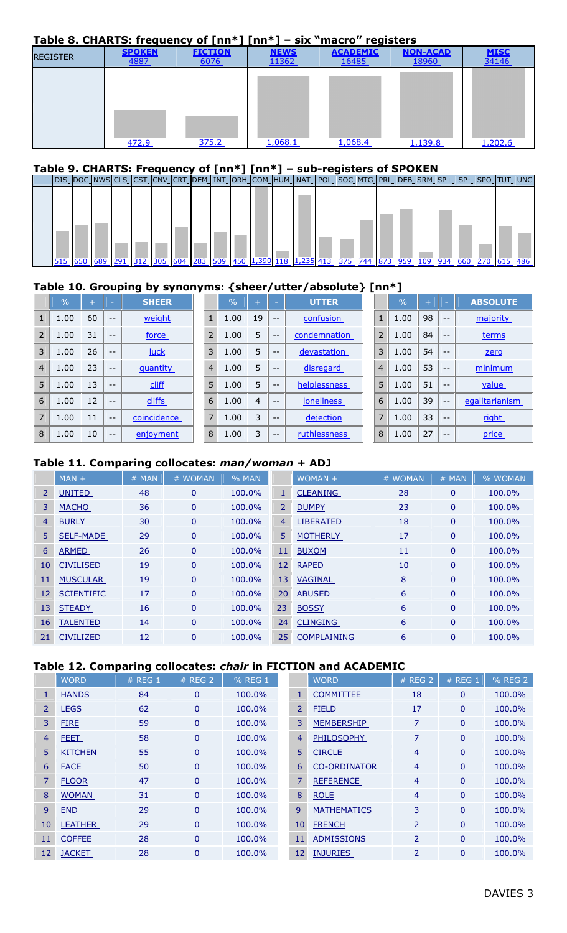# **Table 8. CHARTS: frequency of [nn\*] [nn\*] – six "macro" registers**

|                 |                       |                        |                               | $\frac{1}{2}$            |                          |                      |
|-----------------|-----------------------|------------------------|-------------------------------|--------------------------|--------------------------|----------------------|
| <b>REGISTER</b> | <b>SPOKEN</b><br>4887 | <b>FICTION</b><br>6076 | <b>NEWS</b><br><u> 11362 </u> | <b>ACADEMIC</b><br>16485 | <b>NON-ACAD</b><br>18960 | <b>MISC</b><br>34146 |
|                 |                       |                        |                               |                          |                          |                      |
|                 |                       |                        |                               |                          |                          |                      |
|                 |                       |                        |                               |                          |                          |                      |
|                 |                       |                        |                               |                          |                          |                      |
|                 | 472.9                 | 375.2                  | 1,068.1                       | 1,068.4                  | 1,139.8                  | 1,202.6              |

#### **Table 9. CHARTS: Frequency of [nn\*] [nn\*] – sub-registers of SPOKEN**

|  |  |  |  |  |  | DIS_ DOC_ NWS CLS_ CST_ CNV_ CRT_ DEM_ INT_ ORH_ COM_ HUM_ NAT_ POL_ SOC_ MTG_ PRL_ DEB_ SRM_ SP+_ SP-_ SPO_ TUT_ UNC |  |  |  |  |             |  |
|--|--|--|--|--|--|-----------------------------------------------------------------------------------------------------------------------|--|--|--|--|-------------|--|
|  |  |  |  |  |  |                                                                                                                       |  |  |  |  |             |  |
|  |  |  |  |  |  |                                                                                                                       |  |  |  |  |             |  |
|  |  |  |  |  |  |                                                                                                                       |  |  |  |  |             |  |
|  |  |  |  |  |  |                                                                                                                       |  |  |  |  |             |  |
|  |  |  |  |  |  |                                                                                                                       |  |  |  |  |             |  |
|  |  |  |  |  |  |                                                                                                                       |  |  |  |  |             |  |
|  |  |  |  |  |  | 515 650 689 291 312 305 604 283 509 450 1.390 118 1.235 413 375 744 873 959 109 934 660                               |  |  |  |  | 270 615 486 |  |

#### **Table 10. Grouping by synonyms: {sheer/utter/absolute} [nn\*]**

|    | $\frac{0}{0}$ |    | -     | <b>SHEER</b> |                | $\frac{0}{0}$ | $\ddot{\phantom{1}}$ | -     | <b>UTTER</b>      |                | $\frac{0}{0}$ | $\ddot{}$ |       | <b>ABSOLUTE</b> |
|----|---------------|----|-------|--------------|----------------|---------------|----------------------|-------|-------------------|----------------|---------------|-----------|-------|-----------------|
| Ŧ. | 1.00          | 60 | $- -$ | weight       | 1              | 1.00          | 19                   | $- -$ | confusion         | $\mathbf{1}$   | 1.00          | 98        | $- -$ | majority        |
| 2  | 1.00          | 31 | $- -$ | force        | $\overline{2}$ | 1.00          | 5                    | $- -$ | condemnation      | $\overline{2}$ | 1.00          | 84        | $- -$ | <u>terms</u>    |
| 3  | 1.00          | 26 | $- -$ | <u>luck</u>  | 3              | 1.00          | 5                    | $- -$ | devastation       | 3              | 1.00          | 54        | $- -$ | zero            |
| 4  | 1.00          | 23 | $- -$ | quantity     | $\overline{4}$ | 1.00          | 5                    | $-$   | disregard         | $\overline{4}$ | 1.00          | 53        | $- -$ | minimum         |
| 5  | 1.00          | 13 | $- -$ | cliff        | 5              | 1.00          | 5                    | $- -$ | helplessness      | 5              | 1.00          | 51        | $- -$ | value           |
| 6  | 1.00          | 12 | $ -$  | cliffs       | 6              | 1.00          | $\overline{4}$       | $- -$ | <b>loneliness</b> | 6              | 1.00          | 39        | $- -$ | egalitarianism  |
| 7  | 1.00          | 11 | $- -$ | coincidence  | 7              | 1.00          | 3                    | $- -$ | dejection         | 7              | 1.00          | 33        | $- -$ | <b>right</b>    |
| 8  | 1.00          | 10 | $- -$ | enjoyment    | 8              | 1.00          | 3                    | $- -$ | ruthlessness      | 8              | 1.00          | 27        | $- -$ | price           |

### **Table 11. Comparing collocates:** *man/woman* **+ ADJ**

|                | $MAN +$           | # MAN | # WOMAN        | % MAN  |                | WOMAN +            | # WOMAN | #<br><b>MAN</b> | % WOMAN |
|----------------|-------------------|-------|----------------|--------|----------------|--------------------|---------|-----------------|---------|
| 2              | <b>UNITED</b>     | 48    | $\mathbf 0$    | 100.0% | $\mathbf{1}$   | <b>CLEANING</b>    | 28      | $\mathbf{0}$    | 100.0%  |
| 3              | <b>MACHO</b>      | 36    | $\mathbf{0}$   | 100.0% | $\overline{2}$ | <b>DUMPY</b>       | 23      | $\mathbf{0}$    | 100.0%  |
| $\overline{4}$ | <b>BURLY</b>      | 30    | $\mathbf{0}$   | 100.0% | $\overline{4}$ | <b>LIBERATED</b>   | 18      | $\mathbf{0}$    | 100.0%  |
| 5              | <b>SELF-MADE</b>  | 29    | $\overline{0}$ | 100.0% | 5              | <b>MOTHERLY</b>    | 17      | $\mathbf{0}$    | 100.0%  |
| 6              | <b>ARMED</b>      | 26    | $\mathbf{0}$   | 100.0% | 11             | <b>BUXOM</b>       | 11      | $\mathbf{0}$    | 100.0%  |
| 10             | <b>CIVILISED</b>  | 19    | $\mathbf{0}$   | 100.0% | 12             | <b>RAPED</b>       | 10      | $\mathbf{0}$    | 100.0%  |
| 11             | <b>MUSCULAR</b>   | 19    | $\mathbf{0}$   | 100.0% | 13             | <b>VAGINAL</b>     | 8       | $\mathbf{0}$    | 100.0%  |
| 12             | <b>SCIENTIFIC</b> | 17    | $\mathbf{0}$   | 100.0% | 20             | <b>ABUSED</b>      | 6       | $\mathbf{0}$    | 100.0%  |
| 13             | <b>STEADY</b>     | 16    | $\overline{0}$ | 100.0% | 23             | <b>BOSSY</b>       | 6       | $\mathbf{0}$    | 100.0%  |
| 16             | <b>TALENTED</b>   | 14    | $\Omega$       | 100.0% | 24             | <b>CLINGING</b>    | 6       | $\mathbf{0}$    | 100.0%  |
| 21             | <b>CIVILIZED</b>  | 12    | $\mathbf 0$    | 100.0% | 25             | <b>COMPLAINING</b> | 6       | $\mathbf 0$     | 100.0%  |

#### **Table 12. Comparing collocates:** *chair* **in FICTION and ACADEMIC**

|                | <b>WORD</b>    | # REG 1 | # REG 2        | % REG 1 |                | <b>WORD</b>         | # REG 2        | # REG 1        | % REG 2 |
|----------------|----------------|---------|----------------|---------|----------------|---------------------|----------------|----------------|---------|
| 1              | <b>HANDS</b>   | 84      | $\bf{0}$       | 100.0%  | 1              | <b>COMMITTEE</b>    | 18             | $\overline{0}$ | 100.0%  |
| $\overline{2}$ | <b>LEGS</b>    | 62      | $\overline{0}$ | 100.0%  | $\overline{2}$ | <b>FIELD</b>        | 17             | $\mathbf 0$    | 100.0%  |
| 3              | <b>FIRE</b>    | 59      | $\bf{0}$       | 100.0%  | 3              | <b>MEMBERSHIP</b>   | 7              | $\mathbf{0}$   | 100.0%  |
| $\overline{4}$ | <b>FEET</b>    | 58      | $\bf{0}$       | 100.0%  | 4              | <b>PHILOSOPHY</b>   | $\overline{7}$ | $\mathbf 0$    | 100.0%  |
| 5              | <b>KITCHEN</b> | 55      | $\bf{0}$       | 100.0%  | 5              | <b>CIRCLE</b>       | 4              | $\mathbf 0$    | 100.0%  |
| 6              | <b>FACE</b>    | 50      | $\bf{0}$       | 100.0%  | 6              | <b>CO-ORDINATOR</b> | 4              | $\mathbf{0}$   | 100.0%  |
| 7              | <b>FLOOR</b>   | 47      | $\bf{0}$       | 100.0%  | 7              | <b>REFERENCE</b>    | 4              | $\mathbf{0}$   | 100.0%  |
| 8              | <b>WOMAN</b>   | 31      | $\bf{0}$       | 100.0%  | 8              | <b>ROLE</b>         | 4              | $\mathbf 0$    | 100.0%  |
| 9              | <b>END</b>     | 29      | $\bf{0}$       | 100.0%  | 9              | <b>MATHEMATICS</b>  | 3              | $\mathbf{0}$   | 100.0%  |
| 10             | <b>LEATHER</b> | 29      | $\bf{0}$       | 100.0%  | 10             | <b>FRENCH</b>       | $\overline{2}$ | $\mathbf 0$    | 100.0%  |
| 11             | <b>COFFEE</b>  | 28      | 0              | 100.0%  | 11             | <b>ADMISSIONS</b>   | $\overline{2}$ | $\mathbf 0$    | 100.0%  |
| 12             | <b>JACKET</b>  | 28      | 0              | 100.0%  | 12             | <b>INJURIES</b>     | $\overline{2}$ | $\overline{0}$ | 100.0%  |